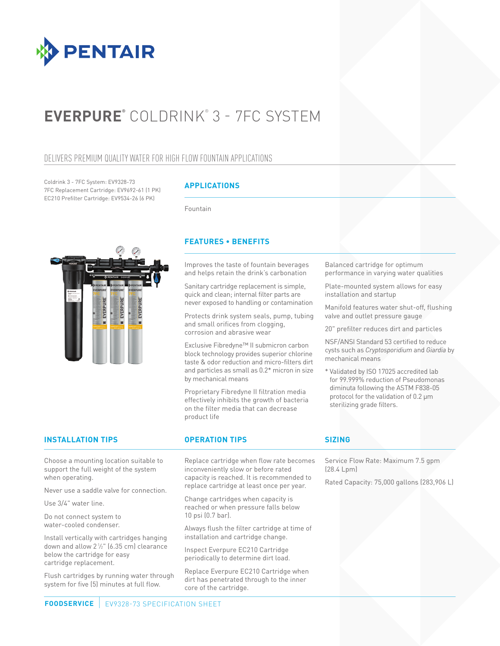

# **EVERPURE®** COLDRINK® 3 - 7FC SYSTEM

# DELIVERS PREMIUM QUALITY WATER FOR HIGH FLOW FOUNTAIN APPLICATIONS

Coldrink 3 - 7FC System: EV9328-73 7FC Replacement Cartridge: EV9692-61 (1 PK) EC210 Prefilter Cartridge: EV9534-26 (6 PK)

# **APPLICATIONS**

Fountain



# **FEATURES • BENEFITS**

Improves the taste of fountain beverages and helps retain the drink's carbonation

Sanitary cartridge replacement is simple, quick and clean; internal filter parts are never exposed to handling or contamination

Protects drink system seals, pump, tubing and small orifices from clogging, corrosion and abrasive wear

Exclusive Fibredyne™ II submicron carbon block technology provides superior chlorine taste & odor reduction and micro-filters dirt and particles as small as 0.2\* micron in size by mechanical means

Proprietary Fibredyne II filtration media effectively inhibits the growth of bacteria on the filter media that can decrease product life

Balanced cartridge for optimum performance in varying water qualities

Plate-mounted system allows for easy installation and startup

Manifold features water shut-off, flushing valve and outlet pressure gauge

20" prefilter reduces dirt and particles

NSF/ANSI Standard 53 certified to reduce cysts such as *Cryptosporidium* and *Giardia* by mechanical means

\* Validated by ISO 17025 accredited lab for 99.999% reduction of Pseudomonas diminuta following the ASTM F838-05 protocol for the validation of 0.2 μm sterilizing grade filters.

### **INSTALLATION TIPS OPERATION TIPS**

Choose a mounting location suitable to support the full weight of the system when operating.

Never use a saddle valve for connection.

Use 3/4" water line.

Do not connect system to water-cooled condenser.

Install vertically with cartridges hanging down and allow 21 ⁄2" (6.35 cm) clearance below the cartridge for easy cartridge replacement.

Flush cartridges by running water through system for five (5) minutes at full flow.

Replace cartridge when flow rate becomes inconveniently slow or before rated capacity is reached. It is recommended to replace cartridge at least once per year.

Change cartridges when capacity is reached or when pressure falls below 10 psi (0.7 bar).

Always flush the filter cartridge at time of installation and cartridge change.

Inspect Everpure EC210 Cartridge periodically to determine dirt load.

Replace Everpure EC210 Cartridge when dirt has penetrated through to the inner core of the cartridge.

### **SIZING**

Service Flow Rate: Maximum 7.5 gpm (28.4 Lpm)

Rated Capacity: 75,000 gallons (283,906 L)